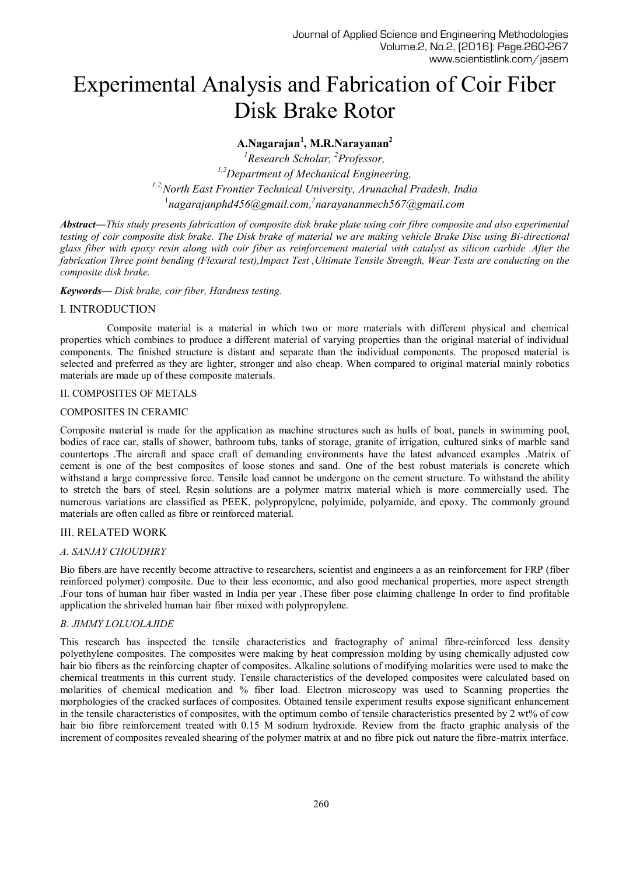# Experimental Analysis and Fabrication of Coir Fiber Disk Brake Rotor

## **A.Nagarajan<sup>1</sup> , M.R.Narayanan<sup>2</sup>**

*<sup>1</sup>Research Scholar, <sup>2</sup>Professor, 1,2Department of Mechanical Engineering, 1,2,North East Frontier Technical University, Arunachal Pradesh, India* <sup>1</sup>nagarajanphd456@gmail.com,<sup>2</sup>narayananmech567@gmail.com

*Abstract***—***This study presents fabrication of composite disk brake plate using coir fibre composite and also experimental testing of coir composite disk brake. The Disk brake of material we are making vehicle Brake Disc using Bi-directional glass fiber with epoxy resin along with coir fiber as reinforcement material with catalyst as silicon carbide .After the fabrication Three point bending (Flexural test),Impact Test ,Ultimate Tensile Strength, Wear Tests are conducting on the composite disk brake.*

## *Keywords— Disk brake, coir fiber, Hardness testing.*

## I. INTRODUCTION

Composite material is a material in which two or more materials with different physical and chemical properties which combines to produce a different material of varying properties than the original material of individual components. The finished structure is distant and separate than the individual components. The proposed material is selected and preferred as they are lighter, stronger and also cheap. When compared to original material mainly robotics materials are made up of these composite materials.

## II. COMPOSITES OF METALS

## COMPOSITES IN CERAMIC

Composite material is made for the application as machine structures such as hulls of boat, panels in swimming pool, bodies of race car, stalls of shower, bathroom tubs, tanks of storage, granite of irrigation, cultured sinks of marble sand countertops .The aircraft and space craft of demanding environments have the latest advanced examples .Matrix of cement is one of the best composites of loose stones and sand. One of the best robust materials is concrete which withstand a large compressive force. Tensile load cannot be undergone on the cement structure. To withstand the ability to stretch the bars of steel. Resin solutions are a polymer matrix material which is more commercially used. The numerous variations are classified as PEEK, polypropylene, polyimide, polyamide, and epoxy. The commonly ground materials are often called as fibre or reinforced material.

## III. RELATED WORK

## *A. SANJAY CHOUDHRY*

Bio fibers are have recently become attractive to researchers, scientist and engineers a as an reinforcement for FRP (fiber reinforced polymer) composite. Due to their less economic, and also good mechanical properties, more aspect strength .Four tons of human hair fiber wasted in India per year .These fiber pose claiming challenge In order to find profitable application the shriveled human hair fiber mixed with polypropylene.

## *B. JIMMY LOLUOLAJIDE*

This research has inspected the tensile characteristics and fractography of animal fibre-reinforced less density polyethylene composites. The composites were making by heat compression molding by using chemically adjusted cow hair bio fibers as the reinforcing chapter of composites. Alkaline solutions of modifying molarities were used to make the chemical treatments in this current study. Tensile characteristics of the developed composites were calculated based on molarities of chemical medication and % fiber load. Electron microscopy was used to Scanning properties the morphologies of the cracked surfaces of composites. Obtained tensile experiment results expose significant enhancement in the tensile characteristics of composites, with the optimum combo of tensile characteristics presented by 2 wt% of cow hair bio fibre reinforcement treated with 0.15 M sodium hydroxide. Review from the fracto graphic analysis of the increment of composites revealed shearing of the polymer matrix at and no fibre pick out nature the fibre-matrix interface.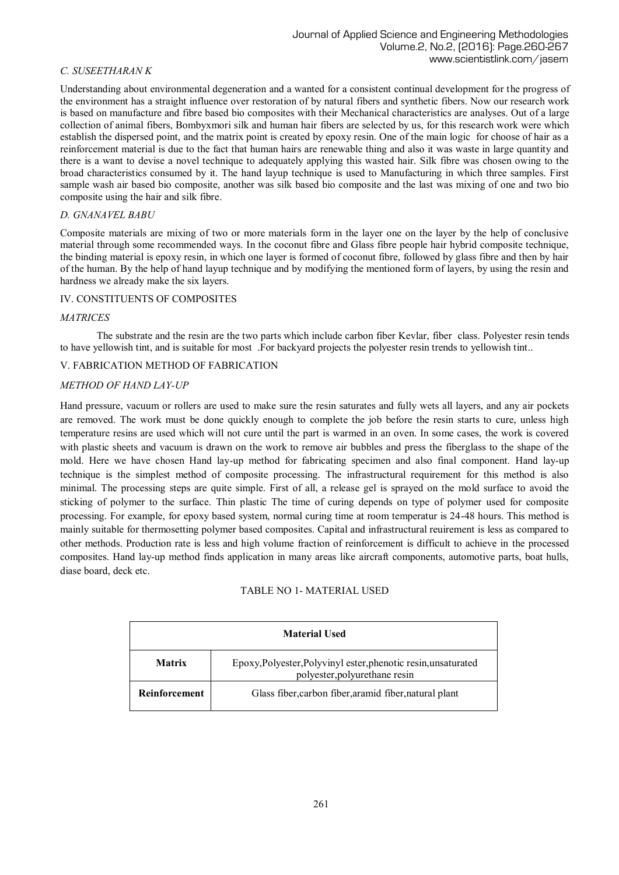## *C. SUSEETHARAN K*

Understanding about environmental degeneration and a wanted for a consistent continual development for the progress of the environment has a straight influence over restoration of by natural fibers and synthetic fibers. Now our research work is based on manufacture and fibre based bio composites with their Mechanical characteristics are analyses. Out of a large collection of animal fibers, Bombyxmori silk and human hair fibers are selected by us, for this research work were which establish the dispersed point, and the matrix point is created by epoxy resin. One of the main logic for choose of hair as a reinforcement material is due to the fact that human hairs are renewable thing and also it was waste in large quantity and there is a want to devise a novel technique to adequately applying this wasted hair. Silk fibre was chosen owing to the broad characteristics consumed by it. The hand layup technique is used to Manufacturing in which three samples. First sample wash air based bio composite, another was silk based bio composite and the last was mixing of one and two bio composite using the hair and silk fibre.

## *D. GNANAVEL BABU*

Composite materials are mixing of two or more materials form in the layer one on the layer by the help of conclusive material through some recommended ways. In the coconut fibre and Glass fibre people hair hybrid composite technique, the binding material is epoxy resin, in which one layer is formed of coconut fibre, followed by glass fibre and then by hair of the human. By the help of hand layup technique and by modifying the mentioned form of layers, by using the resin and hardness we already make the six layers.

#### IV. CONSTITUENTS OF COMPOSITES

#### *MATRICES*

 The substrate and the resin are the two parts which include carbon fiber Kevlar, fiber class. Polyester resin tends to have yellowish tint, and is suitable for most .For backyard projects the polyester resin trends to yellowish tint..

#### V. FABRICATION METHOD OF FABRICATION

#### *METHOD OF HAND LAY-UP*

Hand pressure, vacuum or rollers are used to make sure the resin saturates and fully wets all layers, and any air pockets are removed. The work must be done quickly enough to complete the job before the resin starts to cure, unless high temperature resins are used which will not cure until the part is warmed in an oven. In some cases, the work is covered with plastic sheets and vacuum is drawn on the work to remove air bubbles and press the fiberglass to the shape of the mold. Here we have chosen Hand lay-up method for fabricating specimen and also final component. Hand lay-up technique is the simplest method of composite processing. The infrastructural requirement for this method is also minimal. The processing steps are quite simple. First of all, a release gel is sprayed on the mold surface to avoid the sticking of polymer to the surface. Thin plastic The time of curing depends on type of polymer used for composite processing. For example, for epoxy based system, normal curing time at room temperatur is 24-48 hours. This method is mainly suitable for thermosetting polymer based composites. Capital and infrastructural reuirement is less as compared to other methods. Production rate is less and high volume fraction of reinforcement is difficult to achieve in the processed composites. Hand lay-up method finds application in many areas like aircraft components, automotive parts, boat hulls, diase board, deck etc.

#### TABLE NO 1- MATERIAL USED

| <b>Material Used</b>                                                                                             |                                                        |  |  |  |  |  |  |
|------------------------------------------------------------------------------------------------------------------|--------------------------------------------------------|--|--|--|--|--|--|
| Epoxy, Polyester, Polyvinyl ester, phenotic resin, unsaturated<br><b>Matrix</b><br>polyester, polyurethane resin |                                                        |  |  |  |  |  |  |
| Reinforcement                                                                                                    | Glass fiber, carbon fiber, aramid fiber, natural plant |  |  |  |  |  |  |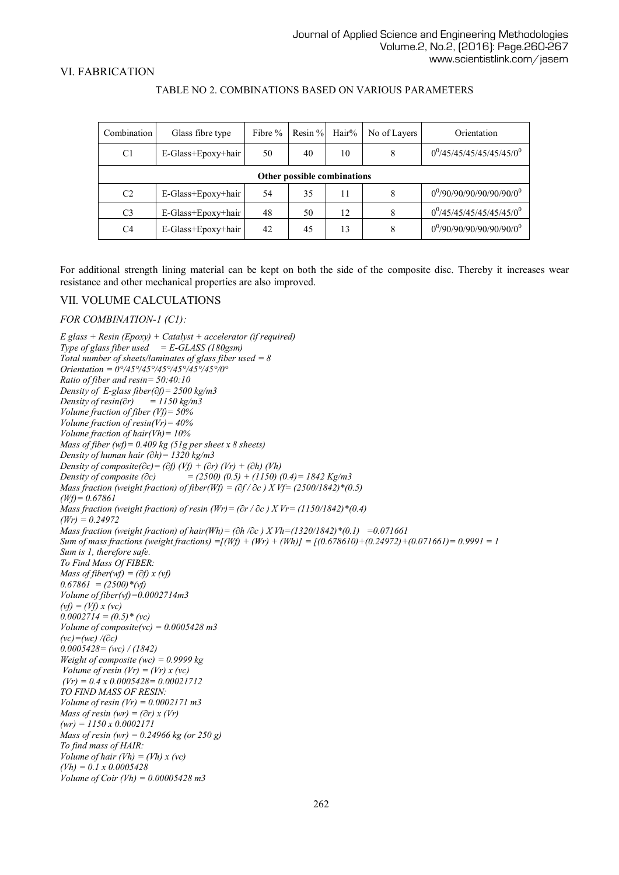#### VI. FABRICATION

| Combination    | Glass fibre type            | Fibre $%$ | Resin $%$ | $\text{Hair}$ % | No of Layers | Orientation                     |  |  |  |  |
|----------------|-----------------------------|-----------|-----------|-----------------|--------------|---------------------------------|--|--|--|--|
| C <sub>1</sub> | E-Glass+Epoxy+hair          | 50        | 40        | 10              | 8            | $0^{0}/45/45/45/45/45/45/0^{0}$ |  |  |  |  |
|                | Other possible combinations |           |           |                 |              |                                 |  |  |  |  |
| C <sub>2</sub> | E-Glass+Epoxy+hair          | 54        | 35        | 11              | 8            | $0^{0}/90/90/90/90/90/90/0^{0}$ |  |  |  |  |
| C <sub>3</sub> | E-Glass+Epoxy+hair          | 48        | 50        | 12              |              | $0^{0}/45/45/45/45/45/45/0^{0}$ |  |  |  |  |
| C <sub>4</sub> | E-Glass+Epoxy+hair          | 42        | 45        | 13              | 8            | $0^{0}/90/90/90/90/90/90/0^{0}$ |  |  |  |  |

#### TABLE NO 2. COMBINATIONS BASED ON VARIOUS PARAMETERS

For additional strength lining material can be kept on both the side of the composite disc. Thereby it increases wear resistance and other mechanical properties are also improved.

#### VII. VOLUME CALCULATIONS

#### *FOR COMBINATION-1 (C1):*

*E glass + Resin (Epoxy) + Catalyst + accelerator (if required) Type of glass fiber used = E-GLASS (180gsm) Total number of sheets/laminates of glass fiber used = 8 Orientation = 0°/45°/45°/45°/45°/45°/45°/0° Ratio of fiber and resin= 50:40:10 Density of E-glass fiber(∂f)= 2500 kg/m3 Density of resin(∂r) = 1150 kg/m3 Volume fraction of fiber (Vf)= 50% Volume fraction of resin(Vr)= 40% Volume fraction of hair(Vh)= 10% Mass of fiber (wf)= 0.409 kg (51g per sheet x 8 sheets) Density of human hair (∂h)= 1320 kg/m3 Density of composite(∂c)= (∂f) (Vf) + (∂r) (Vr) + (∂h) (Vh) Density of composite (∂c) = (2500) (0.5) + (1150) (0.4)= 1842 Kg/m3 Mass fraction (weight fraction) of fiber(Wf) = (∂f / ∂c ) X Vf= (2500/1842)\*(0.5) (Wf)= 0.67861 Mass fraction (weight fraction) of resin (Wr)= (∂r / ∂c ) X Vr= (1150/1842)\*(0.4) (Wr) = 0.24972 Mass fraction (weight fraction) of hair(Wh)= (∂h /∂c ) X Vh=(1320/1842)\*(0.1) =0.071661 Sum of mass fractions (weight fractions) =[(Wf) + (Wr) + (Wh)] = [(0.678610)+(0.24972)+(0.071661)= 0.9991 = 1 Sum is 1, therefore safe. To Find Mass Of FIBER: Mass of fiber(wf) = (∂f) x (vf) 0.67861 = (2500)\*(vf) Volume of fiber(vf)=0.0002714m3 (vf) = (Vf) x (vc) 0.0002714 = (0.5)\* (vc) Volume of composite(vc) = 0.0005428 m3 (vc)=(wc) /(∂c) 0.0005428= (wc) / (1842) Weight of composite (wc) = 0.9999 kg Volume of resin (Vr) = (Vr) x (vc) (Vr) = 0.4 x 0.0005428= 0.00021712 TO FIND MASS OF RESIN: Volume of resin (Vr) = 0.0002171 m3 Mass of resin (wr) = (∂r) x (Vr) (wr) = 1150 x 0.0002171 Mass of resin (wr) = 0.24966 kg (or 250 g) To find mass of HAIR: Volume of hair (Vh) = (Vh) x (vc) (Vh) = 0.1 x 0.0005428 Volume of Coir (Vh) = 0.00005428 m3*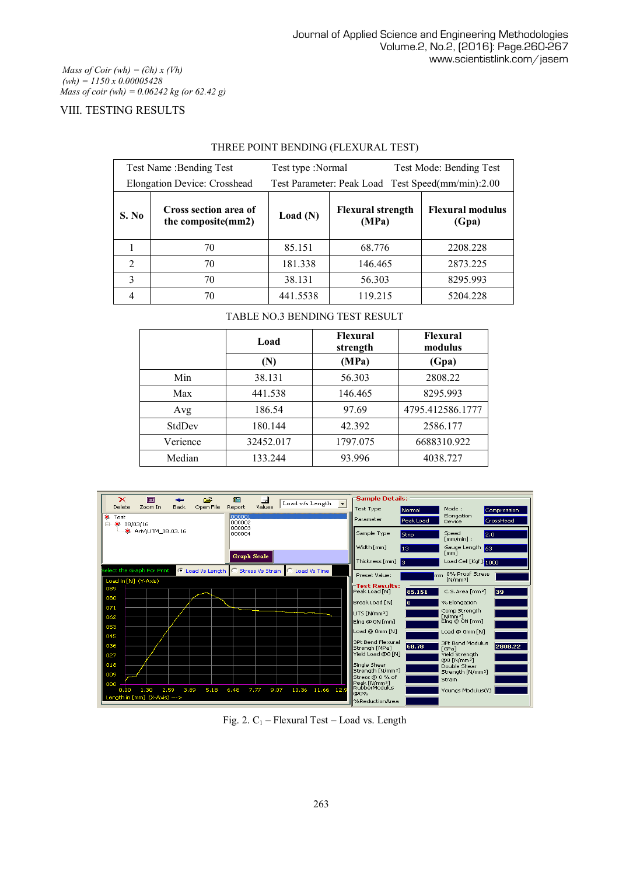*Mass of Coir (wh) = (∂h) x (Vh) (wh) = 1150 x 0.00005428 Mass of coir (wh) = 0.06242 kg (or 62.42 g)*

## VIII. TESTING RESULTS

| Test Name: Bending Test<br>Elongation Device: Crosshead |                                             | Test type :Normal |                                   | Test Mode: Bending Test<br>Test Parameter: Peak Load Test Speed(mm/min):2.00 |  |  |
|---------------------------------------------------------|---------------------------------------------|-------------------|-----------------------------------|------------------------------------------------------------------------------|--|--|
| S. No                                                   | Cross section area of<br>the composite(mm2) | Load $(N)$        | <b>Flexural strength</b><br>(MPa) | <b>Flexural modulus</b><br>(Gpa)                                             |  |  |
|                                                         | 70                                          | 85.151            | 68.776                            | 2208.228                                                                     |  |  |
| $\mathfrak{D}$                                          | 70                                          | 181.338           | 146.465                           | 2873.225                                                                     |  |  |
| 3                                                       | 70                                          | 38.131            | 56.303                            | 8295.993                                                                     |  |  |
|                                                         | 70                                          | 441.5538          | 119.215                           | 5204.228                                                                     |  |  |

## THREE POINT BENDING (FLEXURAL TEST)

## TABLE NO.3 BENDING TEST RESULT

|          | Load      | <b>Flexural</b><br>strength | <b>Flexural</b><br>modulus |
|----------|-----------|-----------------------------|----------------------------|
|          | (N)       | (MPa)                       | (Gpa)                      |
| Min      | 38.131    | 56.303                      | 2808.22                    |
| Max      | 441.538   | 146.465                     | 8295.993                   |
| Avg      | 186.54    | 97.69                       | 4795.412586.1777           |
| StdDev   | 180.144   | 42.392                      | 2586.177                   |
| Verience | 32452.017 | 1797.075                    | 6688310.922                |
| Median   | 133.244   | 93.996                      | 4038.727                   |

| ×<br>回                                                       | ڪ<br>膈                        | 量                | Load w/s Length     | $\overline{\phantom{0}}$ | $\sqcap$ Sample Details:                      |               |                                               |             |
|--------------------------------------------------------------|-------------------------------|------------------|---------------------|--------------------------|-----------------------------------------------|---------------|-----------------------------------------------|-------------|
| Delete<br>Zoom In<br><b>Back</b><br><b>激 Test</b>            | Open File<br>Report<br>000001 | Values           |                     |                          | <b>Test Type</b>                              | Normal        | Mode:<br>Elongation                           | Compression |
| ※ 08/03/16<br>向。                                             | lonnno2<br>000003             |                  |                     |                          | Parameter                                     | Peak Load     | Device                                        | CrossHead   |
| ※ Ariv\UTM_08.03.16                                          | 000004                        |                  |                     |                          | Sample Type                                   | Strip         | Speed<br>2.0<br>$[mm/min]$ :                  |             |
|                                                              |                               |                  |                     |                          | Width [mm]                                    | 13            | Gauge Length<br>l 63.<br>[mm]                 |             |
|                                                              | <b>Graph Scale</b>            |                  |                     |                          | Thickness [mm]<br>lз                          |               | Load Cell [Kgf]: 1000                         |             |
| Select the Graph For Print                                   | C Load Vs Length C            | Stress Vs Strain | C Load Vs Time      |                          | Preset Value:                                 | mm.           | 0% Proof Stress                               |             |
| Load in [N] (Y-Axis)<br>089                                  |                               |                  |                     |                          | -Test Results:                                |               | $N/mm$ <sup>2</sup>                           |             |
| 080                                                          |                               |                  |                     |                          | Peak Load [N]<br>Break Load [N]               | 85.151<br>lo. | C.S.Area [mm <sup>2</sup> ]<br>% Elongation   | 39          |
| 071                                                          |                               |                  |                     |                          | UTS [N/mm <sup>2</sup> ]                      |               | Comp Strength                                 |             |
| 062                                                          |                               |                  |                     |                          | Elng @ ON [mm]                                |               | EN/mm <sup>2</sup> 1<br>Elng @ 0N [mm]        |             |
| 053<br>045                                                   |                               |                  |                     |                          | Load @ 0mm [N]                                |               | Load @ 0mm [N]                                |             |
| 036                                                          |                               |                  |                     |                          | 3Pt Bend Flexural<br>Strengh [MPa]            | 68.78         | 3Pt Bend Modulus<br>[GPa]                     | 2808.22     |
| 027                                                          |                               |                  |                     |                          | Yield Load @0 [N]                             |               | Yield Strength<br>@0 [N/mm <sup>2</sup> ]     |             |
| 018<br>009                                                   |                               |                  |                     |                          | Single Shear<br>Strength [N/mm <sup>2</sup> ] |               | Double Shear<br>Strength [N/mm <sup>2</sup> ] |             |
| 000                                                          |                               |                  |                     |                          | Stress @ 0 % of<br>Peak [N/mm2]               |               | Strain                                        |             |
| 3.89<br>1.30<br>2.59<br>0.00<br>Length in [mm] (X-Axis) ---> | 5.18<br>6.48                  | 7.77<br>9.07     | 11.66 12.9<br>10.36 |                          | RubberModulus<br>lon%                         |               | Youngs Modulus(Y)                             |             |
|                                                              |                               |                  |                     |                          | %ReductionArea                                |               |                                               |             |

Fig. 2.  $C_1$  – Flexural Test – Load vs. Length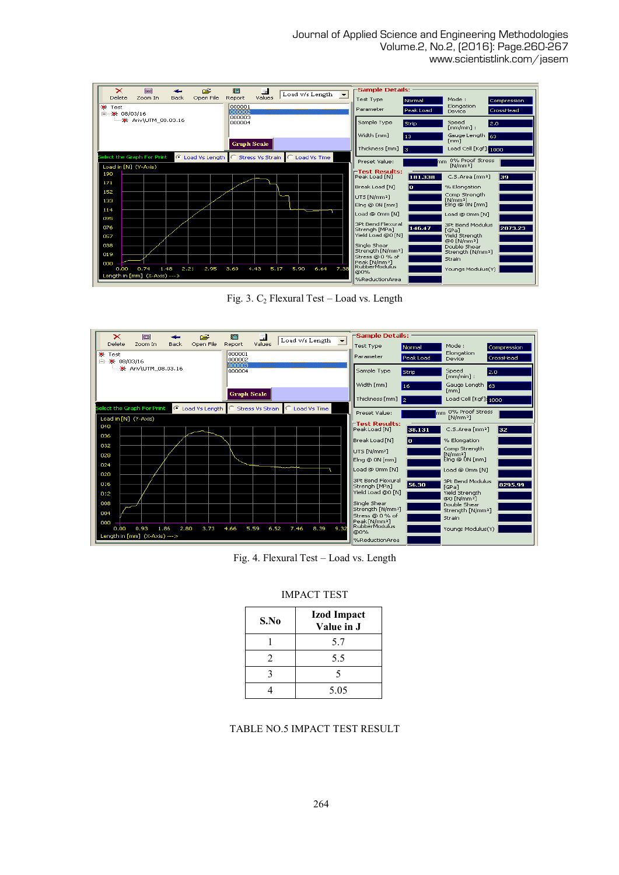Journal of Applied Science and Engineering Methodologies Volume.2, No.2, (2016): Page.260-267 www.scientistlink.com/jasem



Fig. 3.  $C_2$  Flexural Test – Load vs. Length



Fig. 4. Flexural Test – Load vs. Length

#### IMPACT TEST

| S.No | <b>Izod Impact</b><br>Value in J |
|------|----------------------------------|
|      | 5.7                              |
| 2    | 5.5                              |
|      | 5                                |
|      | 5.05                             |

#### TABLE NO.5 IMPACT TEST RESULT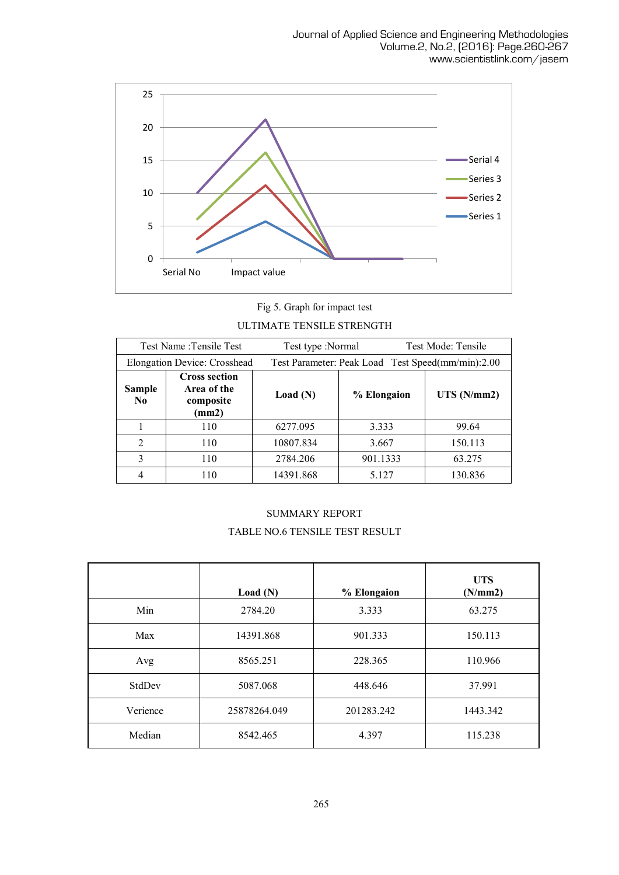

Fig 5. Graph for impact test ULTIMATE TENSILE STRENGTH

| Test Name: Tensile Test         |                                                           | Test type :Normal |             | Test Mode: Tensile                                |  |  |
|---------------------------------|-----------------------------------------------------------|-------------------|-------------|---------------------------------------------------|--|--|
|                                 | <b>Elongation Device: Crosshead</b>                       |                   |             | Test Parameter: Peak Load Test Speed(mm/min):2.00 |  |  |
| <b>Sample</b><br>N <sub>0</sub> | <b>Cross section</b><br>Area of the<br>composite<br>(mm2) | Load(N)           | % Elongaion | UTS(N/mm2)                                        |  |  |
|                                 | 110                                                       | 6277.095          | 3.333       | 99.64                                             |  |  |
| $\overline{2}$                  | 110                                                       | 10807.834         | 3.667       | 150.113                                           |  |  |
| 3                               | 110                                                       | 2784.206          | 901.1333    | 63.275                                            |  |  |
|                                 | 110                                                       | 14391.868         | 5.127       | 130.836                                           |  |  |

# SUMMARY REPORT TABLE NO.6 TENSILE TEST RESULT

|          | Load(N)      | % Elongaion | <b>UTS</b><br>(N/mm2) |
|----------|--------------|-------------|-----------------------|
| Min      | 2784.20      | 3.333       | 63.275                |
| Max      | 14391.868    | 901.333     | 150.113               |
| Avg      | 8565.251     | 228.365     | 110.966               |
| StdDev   | 5087.068     | 448.646     | 37.991                |
| Verience | 25878264.049 | 201283.242  | 1443.342              |
| Median   | 8542.465     | 4.397       | 115.238               |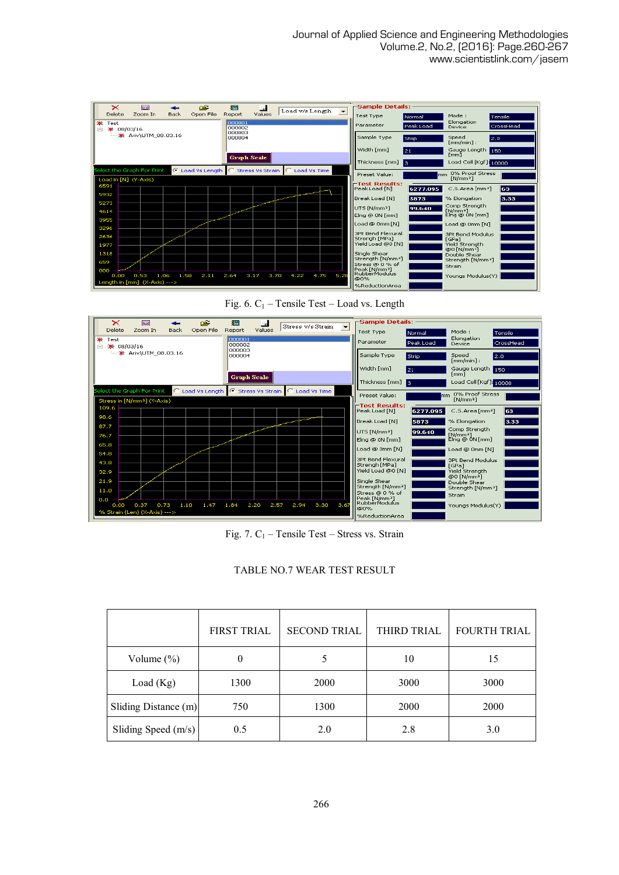| ×                    | lo                           |              | Ê                                   | 搞                          | 量            |                 |      |      | ⊢Sample Details:                                        |                     |                                                                          |                      |
|----------------------|------------------------------|--------------|-------------------------------------|----------------------------|--------------|-----------------|------|------|---------------------------------------------------------|---------------------|--------------------------------------------------------------------------|----------------------|
| Delete<br>÷.<br>Test | Zoom In                      | Back         | Open File                           | Report<br>000001<br>000002 | Values       | Load v/s Length |      |      | <b>Test Type</b><br>Parameter                           | Normal<br>Peak Load | Mode:<br>Elongation<br>Device                                            | Tensile<br>CrossHead |
| Ėŀ                   | 姜 08/03/16                   |              |                                     | 000003<br>000004           |              |                 |      |      | Sample Type                                             | Strip               | Speed<br>$fmm/min$ :                                                     | 2.0                  |
|                      |                              |              |                                     |                            |              |                 |      |      | Width [mm]                                              | 21                  | Gauge Length<br>[mm]                                                     | 150                  |
|                      |                              |              |                                     | <b>Graph Scale</b>         |              |                 |      |      | Thickness [mm]                                          | l 3.                | Load Cell [Kgf]: 10000                                                   |                      |
|                      | Select the Graph For Print   |              | C Load Vs Length C Stress Vs Strain |                            |              | C Load Vs Time  |      |      | Preset Value:                                           | Imm                 | 0% Proof Stress<br>fN/mm <sup>2</sup>                                    |                      |
| 6591                 | Load in [N] (Y-Axis)         |              |                                     |                            |              |                 |      |      | ⊤Test Results:<br>Peak Load [N]                         | 6277.095            | C.S.Area [mm <sup>2</sup> ]                                              | 163.                 |
| 5932<br>5273         |                              |              |                                     |                            |              |                 |      |      | Break Load [N]                                          | 5873                | % Elongation                                                             | 3.33                 |
| 4614                 |                              |              |                                     |                            |              |                 |      |      | UTS [N/mm <sup>2</sup> ]<br>Elng @ ON [mm]              | 99.640              | Comp Strength<br>$[N/mm^2]$<br>Elng @ 0N [mm]                            |                      |
| 3955<br>3296         |                              |              |                                     |                            |              |                 |      |      | Load @ 0mm [N]                                          |                     | Load @ 0mm [N]                                                           |                      |
| 2636<br>1977         |                              |              |                                     |                            |              |                 |      |      | 3Pt Bend Flexural<br>Strengh [MPa]<br>Yield Load @0 [N] |                     | <b>3Pt Bend Modulus</b><br>[GPa]<br><b>Yield Strenath</b>                |                      |
| 1318                 |                              |              |                                     |                            |              |                 |      |      | Single Shear<br>Strength [N/mm <sup>2</sup> ]           |                     | @0 [N/mm <sup>2</sup> ]<br>Double Shear<br>Strength [N/mm <sup>2</sup> ] |                      |
| 659<br>000           |                              |              |                                     |                            |              |                 |      |      | Stress @ 0 % of<br>Peak [N/mm <sup>2</sup> ]            |                     | Strain                                                                   |                      |
| 0.00                 | 0.53                         | 1.06<br>1.58 | 2.11                                | 2.64                       | 3.17<br>3.70 | 4.22            | 4.75 | 5.28 | l RubberModulus.<br><b>@0%</b>                          |                     | Youngs Modulus(Y)                                                        |                      |
|                      | Length in [mm] (X-Axis) ---> |              |                                     |                            |              |                 |      |      | %ReductionArea                                          |                     |                                                                          |                      |





Fig. 7.  $C_1$  – Tensile Test – Stress vs. Strain

|                       | <b>FIRST TRIAL</b> | <b>SECOND TRIAL</b> | THIRD TRIAL | <b>FOURTH TRIAL</b> |
|-----------------------|--------------------|---------------------|-------------|---------------------|
| Volume $(\%)$         |                    |                     | 10          | 15                  |
| Load $(Kg)$           | 1300               | 2000                | 3000        | 3000                |
| Sliding Distance (m)  | 750                | 1300                | 2000        | 2000                |
| Sliding Speed $(m/s)$ | 0.5                | 2.0                 | 2.8         | 3.0                 |